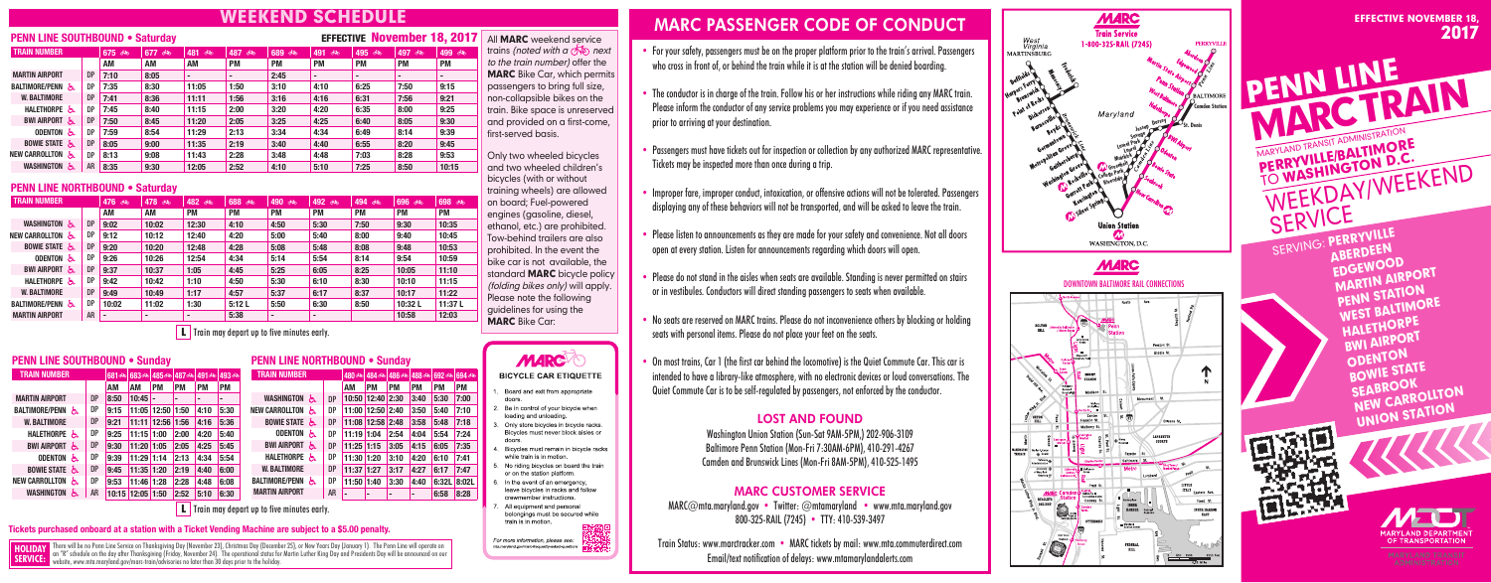# **EEKEND SCHEDULE**

## **PENN LINE SOUTHBOUND • Saturday**

| <b>TRAIN NUMBER</b>        | 675 ෯     | 677<br>්ත | 481<br>ு∕ | 487<br>ு  | 689<br>கூ | 491<br>්ල | 495<br>≪ಾ | 497<br>௸  | 499 5     |           |
|----------------------------|-----------|-----------|-----------|-----------|-----------|-----------|-----------|-----------|-----------|-----------|
|                            |           | АM        | AM        | <b>AM</b> | <b>PM</b> | <b>PM</b> | <b>PM</b> | <b>PM</b> | <b>PM</b> | <b>PM</b> |
| <b>MARTIN AIRPORT</b>      | <b>DP</b> | 7:10      | 8:05      |           |           | 2:45      | $\,$      |           |           |           |
| <b>BALTIMORE/PENN</b><br>ሌ | <b>DP</b> | 7:35      | 8:30      | 11:05     | 1:50      | 3:10      | 4:10      | 6:25      | 7:50      | 9:15      |
| <b>W. BALTIMORE</b>        | <b>DP</b> | 7:41      | 8:36      | 11:11     | 1:56      | 3:16      | 4:16      | 6:31      | 7:56      | 9:21      |
| HALETHORPE &               | <b>DP</b> | 7:45      | 8:40      | 11:15     | 2:00      | 3:20      | 4:20      | 6:35      | 8:00      | 9:25      |
| <b>BWI AIRPORT</b><br>ሌ    | <b>DP</b> | 7:50      | 8:45      | 11:20     | 2:05      | 3:25      | 4:25      | 6:40      | 8:05      | 9:30      |
| <b>ODENTON</b><br>රා       | <b>DP</b> | 7:59      | 8:54      | 11:29     | 2:13      | 3:34      | 4:34      | 6:49      | 8:14      | 9:39      |
| <b>BOWIE STATE</b>         | <b>DP</b> | 8:05      | 9:00      | 11:35     | 2:19      | 3:40      | 4:40      | 6:55      | 8:20      | 9:45      |
| NEW CARROLLTON<br>Ъ.       | <b>DP</b> | 8:13      | 9:08      | 11:43     | 2:28      | 3:48      | 4:48      | 7:03      | 8:28      | 9:53      |
| WASHINGTON<br>රා           | <b>AR</b> | 8:35      | 9:30      | 12:05     | 2:52      | 4:10      | 5:10      | 7:25      | 8:50      | 10:15     |

## **PENN LINE NORTHBOUND • Saturday**

| <b>TRAIN NUMBER</b>   |           | 476 8 | 478 8 | 482<br>ශ්න     | 688 6     | 490 ෯          | 492<br>්ණ      | 494 6     | 696 6     | 698 6     |  |
|-----------------------|-----------|-------|-------|----------------|-----------|----------------|----------------|-----------|-----------|-----------|--|
|                       |           | AM    | AM    | <b>PM</b>      | <b>PM</b> | <b>PM</b>      | <b>PM</b>      | <b>PM</b> | <b>PM</b> | <b>PM</b> |  |
| WASHINGTON &          | <b>DP</b> | 9:02  | 10:02 | 12:30          | 4:10      | 4:50           | 5:30           | 7:50      | 9:30      | 10:35     |  |
| NEW CARROLLTON &      | DP        | 9:12  | 10:12 | 12:40          | 4:20      | 5:00           | 5:40           | 8:00      | 9:40      | 10:45     |  |
| BOWIE STATE &         | <b>DP</b> | 9:20  | 10:20 | 12:48          | 4:28      | 5:08           | 5:48           | 8:08      | 9:48      | 10:53     |  |
| ODENTON &             | DP        | 9:26  | 10:26 | 12:54          | 4:34      | 5:14           | 5:54           | 8:14      | 9:54      | 10:59     |  |
| BWI AIRPORT 는         | <b>DP</b> | 9:37  | 10:37 | 1:05           | 4:45      | 5:25           | 6:05           | 8:25      | 10:05     | 11:10     |  |
| HALETHORPE &          | DP        | 9:42  | 10:42 | 1:10           | 4:50      | 5:30           | 6:10           | 8:30      | 10:10     | 11:15     |  |
| <b>W. BALTIMORE</b>   | <b>DP</b> | 9:49  | 10:49 | 1:17           | 4:57      | 5:37           | 6:17           | 8:37      | 10:17     | 11:22     |  |
| <b>BALTIMORE/PENN</b> | DP        | 10:02 | 11:02 | 1:30           | 5:12L     | 5:50           | 6:30           | 8:50      | 10:32L    | 11:37L    |  |
| <b>MARTIN AIRPORT</b> | AR        |       |       | $\blacksquare$ | 5:38      | $\overline{a}$ | $\blacksquare$ |           | 10:58     | 12:03     |  |

 L **Train may depart up to five minutes early.**

## **PENN LINE SOUTHBOUND • Sunday**

| <b>TRAIN NUMBER</b>         |           |       | 681 க் 683 க் |           |           | 485ශ) 487ശ) 491ശ) | 493 ෯     |
|-----------------------------|-----------|-------|---------------|-----------|-----------|-------------------|-----------|
|                             |           | АM    | ΑM            | <b>PM</b> | <b>PM</b> | PM                | <b>PM</b> |
| <b>MARTIN AIRPORT</b>       | <b>DP</b> | 8:50  | 10:45         |           |           |                   |           |
| <b>BALTIMORE/PENN</b><br>దు | <b>DP</b> | 9:15  | 11:05         | 12:50     | 1:50      | 4:10              | 5:30      |
| <b>W. BALTIMORE</b>         | <b>DP</b> | 9:21  | 11:11         | 12:56     | 1:56      | 4:16              | 5:36      |
| <b>HALETHORPE</b><br>δ.     | DP        | 9:25  | 11:15         | 1:00      | 2:00      | 4:20              | 5:40      |
| <b>BWI AIRPORT</b><br>δ.    | <b>DP</b> | 9:30  | 11:20         | 1:05      | 2:05      | 4:25              | 5:45      |
| <b>ODENTON</b><br>రు        | <b>DP</b> | 9:39  | 11:29         | 1:14      | 2:13      | 4:34              | 5:54      |
| <b>BOWIE STATE</b><br>と     | <b>DP</b> | 9:45  | 11:35         | 1:20      | 2:19      | 4:40              | 6:00      |
| <b>NEW CARROLLTON</b><br>్  | <b>DP</b> | 9:53  | 11:46 1:28    |           | 2:28      | 4:48              | 6:08      |
| WASHINGTON<br>్             | AR        | 10:15 | 12:05         | 1:50      | 2:52      | 5:10              | 6:30      |

## **PENN LINE NORTHBOUND • Sunday**

| <b>TRAIN NUMBER</b>         |           |       |            | 480 ෯ 484 ෯ 486 ෯ |           | 488 5 692 5 694 54 |              |
|-----------------------------|-----------|-------|------------|-------------------|-----------|--------------------|--------------|
|                             |           | AM    | <b>PM</b>  | <b>PM</b>         | <b>PM</b> | <b>PM</b>          | <b>PM</b>    |
| <b>WASHINGTON</b><br>ሊ      | <b>DP</b> | 10:50 | 12:40 2:30 |                   | 3:40      | 5:30               | 7:00         |
| <b>NEW CARROLLTON</b><br>෬  | DP        | 11:00 | 12:50      | 2:40              | 3:50      | 5:40               | 7:10         |
| <b>BOWIE STATE</b><br>と     | <b>DP</b> | 11:08 | 12:58      | 2:48              | 3:58      | 5:48               | 7:18         |
| <b>ODENTON</b><br>ద్        | DP        | 11:19 | 1:04       | 2:54              | 4:04      | 5:54               | 7:24         |
| <b>BWI AIRPORT</b><br>රූ    | <b>DP</b> | 11:25 | 1:15       | 3:05              | 4:15      | 6:05               | 7:35         |
| HALETHORPE<br>δ.            | DP        | 11:30 | 1:20       | 3:10              | 4:20      | 6:10               | 7:41         |
| <b>W. BALTIMORE</b>         | <b>DP</b> | 11:37 | 1:27       | 3:17              | 4:27      | 6:17               | 7:47         |
| <b>BALTIMORE/PENN</b><br>ద్ | DP        | 11:50 | 1:40       | 3:30              | 4:40      | 6:32L              | <b>8:02L</b> |
| <b>MARTIN AIRPORT</b>       | AR        |       |            |                   |           | 6:58               | 8:28         |
|                             |           |       |            |                   |           |                    |              |

 L **Train may depart up to five minutes early.**

#### **Tickets purchased onboard at a station with a Ticket Vending Machine are subject to a \$5.00 penalty.**

There will be no Penn Line Service on Thanksgiving Day (November 23), Christmas Day (December 25), or New Years Day (January 1). The Penn Line will operate on an "R" schedule on the day after Thanksgiving (Friday, November 24). The operational status for Martin Luther King Day and Presidents Day will be announced on our website, www.mta.maryland.gov/marc-train/advisories no later than 30 days prior to the holiday. **HOLIDAY SERVICE:**

EFFECTIVENovember 18, 2017

All **MARC** weekend service trains (noted with a  $\overline{\text{O}}$  next to the train number) offer the MARC Bike Car, which permits passengers to bring full size, non-collapsible bikes on the train. Bike space is unreserved and provided on a first-come, first-served basis.

Only two wheeled bicycles and two wheeled children's bicycles (with or without training wheels) are allowed on board; Fuel-powered engines (gasoline, diesel, ethanol, etc.) are prohibited. Tow-behind trailers are also prohibited. In the event the bike car is not available, the standard **MARC** bicycle policy (folding bikes only) will apply. Please note the following guidelines for using the MARC Bike Car:



#### **BICYCLE CAR ETIQUETTE**

- Board and exit from appropriate doors.
- Be in control of your bicycle when loading and unloading.
- Only store bicycles in bicycle racks. Bicycles must never block aisles or doors
- Bicycles must remain in bicycle racks while train is in motion.
- No riding bicycles on board the train or on the station platform.
- In the event of an emergency, leave bicycles in racks and follow crewmember instructions.
- 7. All equipment and personal belongings must be secured while train is in motion.

For more information, please see mta maryland gov/marc-frequently-asked-question